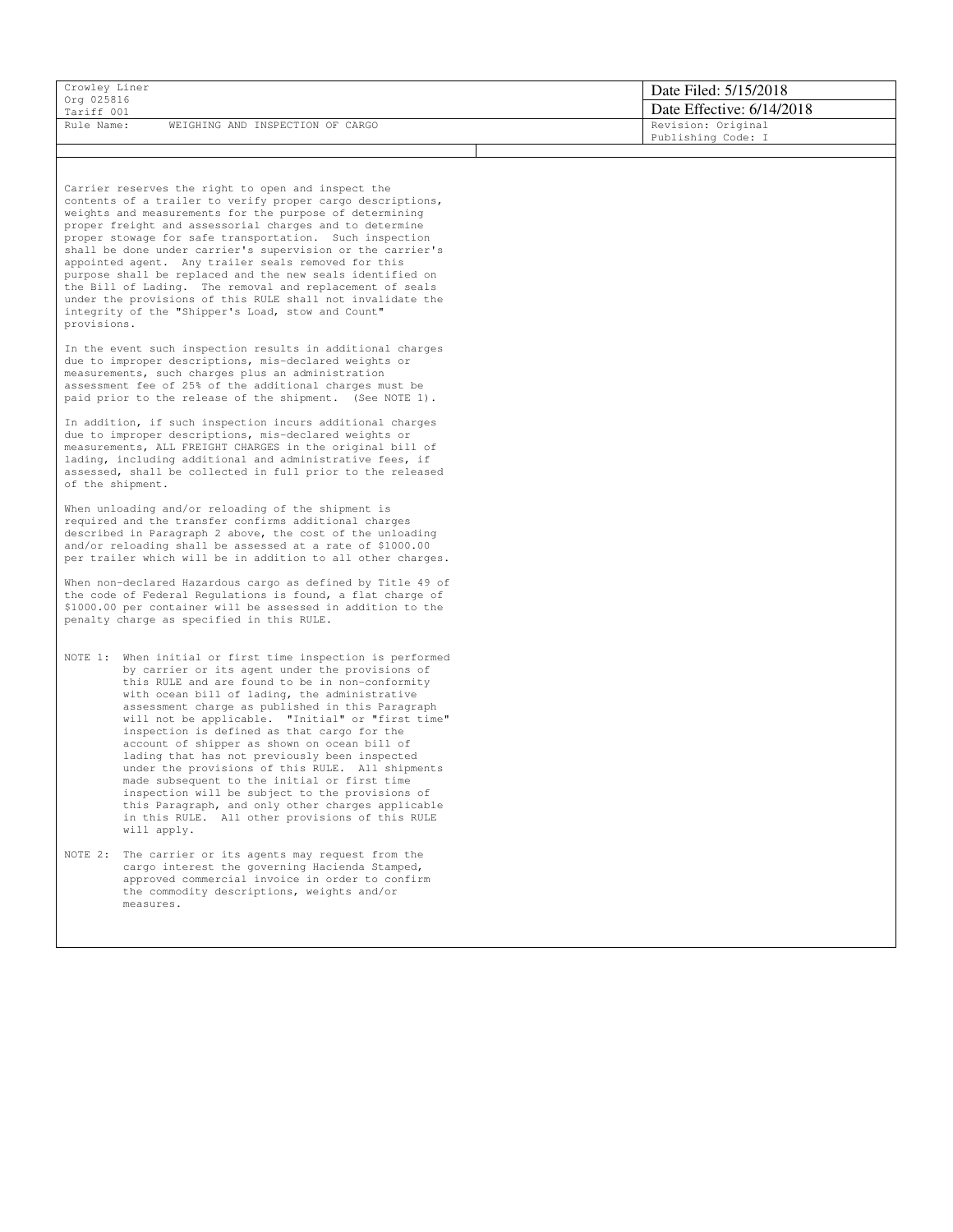| Crowley Liner<br>Org 025816 |                                  | Date Filed: 5/15/2018     |
|-----------------------------|----------------------------------|---------------------------|
| Tariff 001                  |                                  | Date Effective: 6/14/2018 |
| Rule Name:                  | WEIGHING AND INSPECTION OF CARGO | Revision: Original        |
|                             |                                  | Publishing Code: I        |

Carrier reserves the right to open and inspect the contents of a trailer to verify proper cargo descriptions, weights and measurements for the purpose of determining proper freight and assessorial charges and to determine proper stowage for safe transportation. Such inspection shall be done under carrier's supervision or the carrier's appointed agent. Any trailer seals removed for this purpose shall be replaced and the new seals identified on the Bill of Lading. The removal and replacement of seals under the provisions of this RULE shall not invalidate the integrity of the "Shipper's Load, stow and Count" provisions.

In the event such inspection results in additional charges due to improper descriptions, mis-declared weights or measurements, such charges plus an administration assessment fee of 25% of the additional charges must be paid prior to the release of the shipment. (See NOTE 1).

In addition, if such inspection incurs additional charges due to improper descriptions, mis-declared weights or measurements, ALL FREIGHT CHARGES in the original bill of lading, including additional and administrative fees, if assessed, shall be collected in full prior to the released of the shipment.

When unloading and/or reloading of the shipment is required and the transfer confirms additional charges described in Paragraph 2 above, the cost of the unloading and/or reloading shall be assessed at a rate of \$1000.00 per trailer which will be in addition to all other charges.

When non-declared Hazardous cargo as defined by Title 49 of the code of Federal Regulations is found, a flat charge of \$1000.00 per container will be assessed in addition to the penalty charge as specified in this RULE.

- NOTE 1: When initial or first time inspection is performed by carrier or its agent under the provisions of this RULE and are found to be in non-conformity with ocean bill of lading, the administrative assessment charge as published in this Paragraph will not be applicable. "Initial" or "first time" inspection is defined as that cargo for the account of shipper as shown on ocean bill of lading that has not previously been inspected under the provisions of this RULE. All shipments made subsequent to the initial or first time inspection will be subject to the provisions of this Paragraph, and only other charges applicable in this RULE. All other provisions of this RULE will apply.
- NOTE 2: The carrier or its agents may request from the cargo interest the governing Hacienda Stamped, approved commercial invoice in order to confirm the commodity descriptions, weights and/or measures.